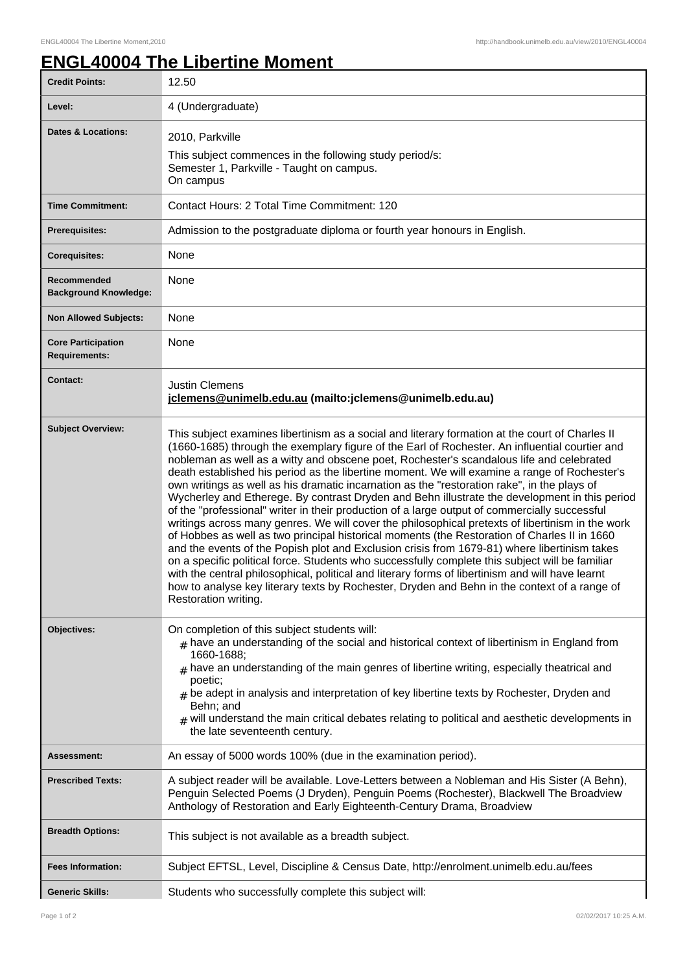## **ENGL40004 The Libertine Moment**

| <b>Credit Points:</b>                             | 12.50                                                                                                                                                                                                                                                                                                                                                                                                                                                                                                                                                                                                                                                                                                                                                                                                                                                                                                                                                                                                                                                                                                                                                                                                                                                                                                                             |
|---------------------------------------------------|-----------------------------------------------------------------------------------------------------------------------------------------------------------------------------------------------------------------------------------------------------------------------------------------------------------------------------------------------------------------------------------------------------------------------------------------------------------------------------------------------------------------------------------------------------------------------------------------------------------------------------------------------------------------------------------------------------------------------------------------------------------------------------------------------------------------------------------------------------------------------------------------------------------------------------------------------------------------------------------------------------------------------------------------------------------------------------------------------------------------------------------------------------------------------------------------------------------------------------------------------------------------------------------------------------------------------------------|
| Level:                                            | 4 (Undergraduate)                                                                                                                                                                                                                                                                                                                                                                                                                                                                                                                                                                                                                                                                                                                                                                                                                                                                                                                                                                                                                                                                                                                                                                                                                                                                                                                 |
| <b>Dates &amp; Locations:</b>                     | 2010, Parkville<br>This subject commences in the following study period/s:<br>Semester 1, Parkville - Taught on campus.<br>On campus                                                                                                                                                                                                                                                                                                                                                                                                                                                                                                                                                                                                                                                                                                                                                                                                                                                                                                                                                                                                                                                                                                                                                                                              |
| <b>Time Commitment:</b>                           | Contact Hours: 2 Total Time Commitment: 120                                                                                                                                                                                                                                                                                                                                                                                                                                                                                                                                                                                                                                                                                                                                                                                                                                                                                                                                                                                                                                                                                                                                                                                                                                                                                       |
| <b>Prerequisites:</b>                             | Admission to the postgraduate diploma or fourth year honours in English.                                                                                                                                                                                                                                                                                                                                                                                                                                                                                                                                                                                                                                                                                                                                                                                                                                                                                                                                                                                                                                                                                                                                                                                                                                                          |
| <b>Corequisites:</b>                              | None                                                                                                                                                                                                                                                                                                                                                                                                                                                                                                                                                                                                                                                                                                                                                                                                                                                                                                                                                                                                                                                                                                                                                                                                                                                                                                                              |
| Recommended<br><b>Background Knowledge:</b>       | None                                                                                                                                                                                                                                                                                                                                                                                                                                                                                                                                                                                                                                                                                                                                                                                                                                                                                                                                                                                                                                                                                                                                                                                                                                                                                                                              |
| <b>Non Allowed Subjects:</b>                      | None                                                                                                                                                                                                                                                                                                                                                                                                                                                                                                                                                                                                                                                                                                                                                                                                                                                                                                                                                                                                                                                                                                                                                                                                                                                                                                                              |
| <b>Core Participation</b><br><b>Requirements:</b> | None                                                                                                                                                                                                                                                                                                                                                                                                                                                                                                                                                                                                                                                                                                                                                                                                                                                                                                                                                                                                                                                                                                                                                                                                                                                                                                                              |
| <b>Contact:</b>                                   | <b>Justin Clemens</b><br>jclemens@unimelb.edu.au (mailto: jclemens@unimelb.edu.au)                                                                                                                                                                                                                                                                                                                                                                                                                                                                                                                                                                                                                                                                                                                                                                                                                                                                                                                                                                                                                                                                                                                                                                                                                                                |
| <b>Subject Overview:</b>                          | This subject examines libertinism as a social and literary formation at the court of Charles II<br>(1660-1685) through the exemplary figure of the Earl of Rochester. An influential courtier and<br>nobleman as well as a witty and obscene poet, Rochester's scandalous life and celebrated<br>death established his period as the libertine moment. We will examine a range of Rochester's<br>own writings as well as his dramatic incarnation as the "restoration rake", in the plays of<br>Wycherley and Etherege. By contrast Dryden and Behn illustrate the development in this period<br>of the "professional" writer in their production of a large output of commercially successful<br>writings across many genres. We will cover the philosophical pretexts of libertinism in the work<br>of Hobbes as well as two principal historical moments (the Restoration of Charles II in 1660<br>and the events of the Popish plot and Exclusion crisis from 1679-81) where libertinism takes<br>on a specific political force. Students who successfully complete this subject will be familiar<br>with the central philosophical, political and literary forms of libertinism and will have learnt<br>how to analyse key literary texts by Rochester, Dryden and Behn in the context of a range of<br>Restoration writing. |
| Objectives:                                       | On completion of this subject students will:<br>$_{\#}$ have an understanding of the social and historical context of libertinism in England from<br>1660-1688;<br>$#$ have an understanding of the main genres of libertine writing, especially theatrical and<br>poetic;<br>$#$ be adept in analysis and interpretation of key libertine texts by Rochester, Dryden and<br>Behn; and<br>$_{\#}$ will understand the main critical debates relating to political and aesthetic developments in<br>the late seventeenth century.                                                                                                                                                                                                                                                                                                                                                                                                                                                                                                                                                                                                                                                                                                                                                                                                  |
| Assessment:                                       | An essay of 5000 words 100% (due in the examination period).                                                                                                                                                                                                                                                                                                                                                                                                                                                                                                                                                                                                                                                                                                                                                                                                                                                                                                                                                                                                                                                                                                                                                                                                                                                                      |
| <b>Prescribed Texts:</b>                          | A subject reader will be available. Love-Letters between a Nobleman and His Sister (A Behn),<br>Penguin Selected Poems (J Dryden), Penguin Poems (Rochester), Blackwell The Broadview<br>Anthology of Restoration and Early Eighteenth-Century Drama, Broadview                                                                                                                                                                                                                                                                                                                                                                                                                                                                                                                                                                                                                                                                                                                                                                                                                                                                                                                                                                                                                                                                   |
| <b>Breadth Options:</b>                           | This subject is not available as a breadth subject.                                                                                                                                                                                                                                                                                                                                                                                                                                                                                                                                                                                                                                                                                                                                                                                                                                                                                                                                                                                                                                                                                                                                                                                                                                                                               |
| <b>Fees Information:</b>                          | Subject EFTSL, Level, Discipline & Census Date, http://enrolment.unimelb.edu.au/fees                                                                                                                                                                                                                                                                                                                                                                                                                                                                                                                                                                                                                                                                                                                                                                                                                                                                                                                                                                                                                                                                                                                                                                                                                                              |
| <b>Generic Skills:</b>                            | Students who successfully complete this subject will:                                                                                                                                                                                                                                                                                                                                                                                                                                                                                                                                                                                                                                                                                                                                                                                                                                                                                                                                                                                                                                                                                                                                                                                                                                                                             |